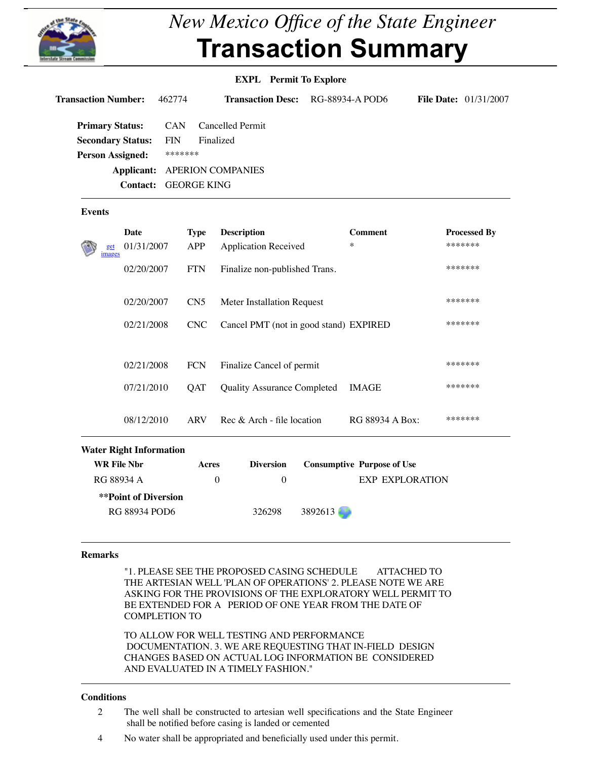## **Applicant:** APERION COMPANIES **Contact:** GEORGE KING

## **Events**

|                    | <b>Date</b>                    | <b>Type</b>     | <b>Description</b>                     |         | <b>Comment</b>                    | Pr    |
|--------------------|--------------------------------|-----------------|----------------------------------------|---------|-----------------------------------|-------|
| get<br>images      | 01/31/2007                     | <b>APP</b>      | <b>Application Received</b>            |         | $\ast$                            | $**$  |
|                    | 02/20/2007                     | <b>FTN</b>      | Finalize non-published Trans.          |         |                                   | $**$  |
|                    | 02/20/2007                     | CN <sub>5</sub> | <b>Meter Installation Request</b>      |         |                                   | $***$ |
|                    | 02/21/2008                     | <b>CNC</b>      | Cancel PMT (not in good stand) EXPIRED |         |                                   | $**$  |
|                    | 02/21/2008                     | <b>FCN</b>      | Finalize Cancel of permit              |         |                                   | $**$  |
| 07/21/2010         |                                | QAT             | <b>Quality Assurance Completed</b>     |         | <b>IMAGE</b>                      | $**$  |
|                    | 08/12/2010                     | <b>ARV</b>      | Rec & Arch - file location             |         | RG 88934 A Box:                   | $**$  |
|                    | <b>Water Right Information</b> |                 |                                        |         |                                   |       |
| <b>WR File Nbr</b> |                                | <b>Acres</b>    | <b>Diversion</b>                       |         | <b>Consumptive Purpose of Use</b> |       |
| RG 88934 A         |                                | $\overline{0}$  | $\overline{0}$                         |         | <b>EXP EXPLORATION</b>            |       |
|                    | <b>**Point of Diversion</b>    |                 |                                        |         |                                   |       |
|                    | <b>RG 88934 POD6</b>           |                 | 326298                                 | 3892613 |                                   |       |
|                    |                                |                 |                                        |         |                                   |       |

#### **Remarks**

"1. PLEASE SEE THE PROPOSED CASING SCHEDULE ATTACHED TO THE ARTESIAN WELL 'PLAN OF OPERATIONS' 2. PLEASE NOTE WE ARE ASKING FOR THE PROVISIONS OF THE EXPLORATORY WELL PERMIT TO BE EXTENDED FOR A PERIOD OF ONE YEAR FROM THE DATE OF COMPLETION TO

TO ALLOW FOR WELL TESTING AND PERFORMANCE DOCUMENTATION. 3. WE ARE REQUESTING THAT IN-FIELD DESIGN CHANGES BASED ON ACTUAL LOG INFORMATION BE CONSIDERED AND EVALUATED IN A TIMELY FASHION."

# **Conditions**

- 2 The well shall be constructed to artesian well specifications and the State Engineer shall be notified before casing is landed or cemented
- 4 No water shall be appropriated and beneficially used under this permit.